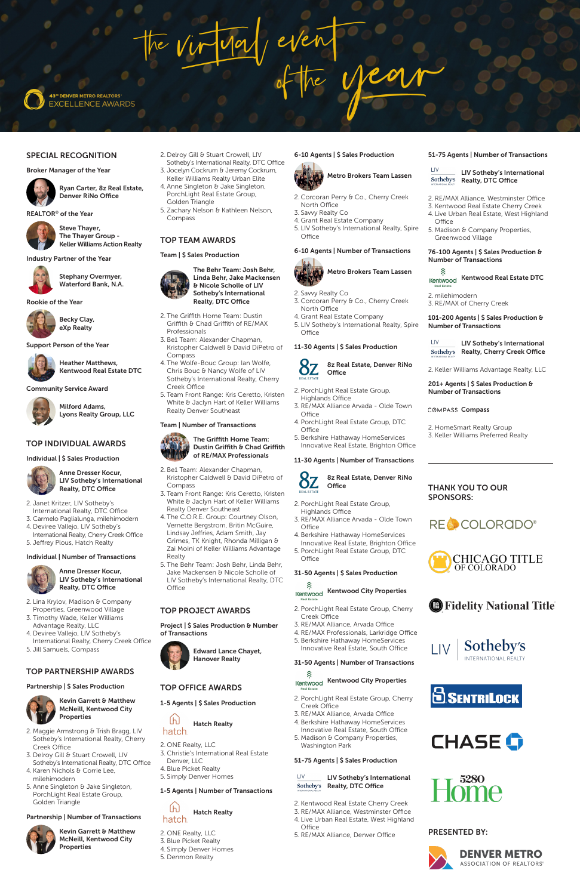May even

**43<sup>8</sup> DENVER METRO REALTORS EXCELLENCE AWARDS** 

## SPECIAL RECOGNITION

Broker Manager of the Year

 Ryan Carter, 8z Real Estate, Denver RiNo Office

REALTOR® of the Year

Steve Thayer,

The Thayer Group - Keller Williams Action Realty

Industry Partner of the Year



Stephany Overmyer, Waterford Bank, N.A.

Rookie of the Year



Becky Clay, eXp Realty

Support Person of the Year



Heather Matthews, Kentwood Real Estate DTC

Community Service Award



Milford Adams, Lyons Realty Group, LLC

## TOP INDIVIDUAL AWARDS

Individual | \$ Sales Production



Anne Dresser Kocur, LIV Sotheby's International Realty, DTC Office

- 2. Janet Kritzer, LIV Sotheby's International Realty, DTC Office
- 3. Carmelo Paglialunga, milehimodern 4. Deviree Vallejo, LIV Sotheby's
- International Realty, Cherry Creek Office 5. Jeffrey Plous, Hatch Realty

## Individual | Number of Transactions



 Anne Dresser Kocur, LIV Sotheby's International Realty, DTC Office

- 2. Lina Krylov, Madison & Company Properties, Greenwood Village
- 3. Timothy Wade, Keller Williams Advantage Realty, LLC
- 4. Deviree Vallejo, LIV Sotheby's International Realty, Cherry Creek Office
- 5. Jill Samuels, Compass

## TOP PARTNERSHIP AWARDS

## Partnership | \$ Sales Production



 Kevin Garrett & Matthew McNeill, Kentwood City Properties

- 2. Be1 Team: Alexander Chapman, Kristopher Caldwell & David DiPetro of Compass
- 3. Team Front Range: Kris Ceretto, Kristen White & Jaclyn Hart of Keller Williams Realty Denver Southeast
- 4. The C.O.R.E. Group: Courtney Olson, Vernette Bergstrom, Britin McGuire, Lindsay Jeffries, Adam Smith, Jay Grimes, TK Knight, Rhonda Milligan & Zai Moini of Keller Williams Advantage Realty
- 5. The Behr Team: Josh Behr, Linda Behr, Jake Mackensen & Nicole Scholle of LIV Sotheby's International Realty, DTC **Office**

- 2. Maggie Armstrong & Trish Bragg, LIV Sotheby's International Realty, Cherry Creek Office
- 3. Delroy Gill & Stuart Crowell, LIV Sotheby's International Realty, DTC Office
- 4. Karen Nichols & Corrie Lee, milehimodern
- 5. Anne Singleton & Jake Singleton, PorchLight Real Estate Group, Golden Triangle

## Partnership | Number of Transactions



 Kevin Garrett & Matthew McNeill, Kentwood City Properties

- 2. Delroy Gill & Stuart Crowell, LIV Sotheby's International Realty, DTC Office
- 3. Jocelyn Cockrum & Jeremy Cockrum, Keller Williams Realty Urban Elite
- 4. Anne Singleton & Jake Singleton, PorchLight Real Estate Group, Golden Triangle
- 5. Zachary Nelson & Kathleen Nelson, Compass

- 2. Savvy Realty Co
- 3. Corcoran Perry & Co., Cherry Creek North Office
- 4. Grant Real Estate Company
- 5. LIV Sotheby's International Realty, Spire **Office**

## TOP TEAM AWARDS

## Team | \$ Sales Production

## 8z Real Estate, Denver RiNo **Office**

 The Behr Team: Josh Behr, Linda Behr, Jake Mackensen & Nicole Scholle of LIV Sotheby's International Realty, DTC Office

- 2. The Griffith Home Team: Dustin Griffith & Chad Griffith of RE/MAX Professionals
- 3. Be1 Team: Alexander Chapman, Kristopher Caldwell & David DiPetro of Compass
- 4. The Wolfe-Bouc Group: Ian Wolfe, Chris Bouc & Nancy Wolfe of LIV Sotheby's International Realty, Cherry Creek Office
- 5. Team Front Range: Kris Ceretto, Kristen White & Jaclyn Hart of Keller Williams Realty Denver Southeast

### Team | Number of Transactions



2. Kentwood Real Estate Cherry Creek 3. RE/MAX Alliance, Westminster Office 4. Live Urban Real Estate, West Highland **Office** 

## TOP PROJECT AWARDS

Project | \$ Sales Production & Number of Transactions



## TOP OFFICE AWARDS

1-5 Agents | \$ Sales Production

 $[h]$  Hatch Realty hatch

2. ONE Realty, LLC 3. Christie's International Real Estate Denver, LLC 4. Blue Picket Realty 5. Simply Denver Homes

## 1-5 Agents | Number of Transactions



2. ONE Realty, LLC 3. Blue Picket Realty 4. Simply Denver Homes 5. Denmon Realty

## 6-10 Agents | \$ Sales Production



- 2. Corcoran Perry & Co., Cherry Creek North Office
- 3. Savvy Realty Co
- 4. Grant Real Estate Company
- 5. LIV Sotheby's International Realty, Spire Office

# 6-10 Agents | Number of Transactions



## 11-30 Agents | \$ Sales Production

- 2. PorchLight Real Estate Group, Highlands Office
- 3. RE/MAX Alliance Arvada Olde Town Office
- 4. PorchLight Real Estate Group, DTC **Office**
- 5. Berkshire Hathaway HomeServices Innovative Real Estate, Brighton Office

## 11-30 Agents | Number of Transactions



- 2. PorchLight Real Estate Group,
- Highlands Office 3. RE/MAX Alliance Arvada - Olde Town
- Office 4. Berkshire Hathaway HomeServices
- Innovative Real Estate, Brighton Office 5. PorchLight Real Estate Group, DTC
- Office

## 31-50 Agents | \$ Sales Production

## 分 Kentwood Kentwood City Properties

- 2. PorchLight Real Estate Group, Cherry Creek Office
- 3. RE/MAX Alliance, Arvada Office
- 4. RE/MAX Professionals, Larkridge Office
- 5. Berkshire Hathaway HomeServices Innovative Real Estate, South Office

31-50 Agents | Number of Transactions

 $\widehat{\mathcal{R}}$ <sub>Kentwood</sub> Kentwood City Properties

- 2. PorchLight Real Estate Group, Cherry Creek Office
- 3. RE/MAX Alliance, Arvada Office
- 4. Berkshire Hathaway HomeServices Innovative Real Estate, South Office
- 5. Madison & Company Properties, Washington Park

## 51-75 Agents | \$ Sales Production

LIV \_\_\_\_\_\_ LIV Sotheby's International Sotheby's Realty, DTC Office

5. RE/MAX Alliance, Denver Office

INTERNATIONAL REALTY

Sotheby's

**B** Fidelity National Title







## 51-75 Agents | Number of Transactions

LIV Sotheby's International Sotheby's Realty, DTC Office

- 2. RE/MAX Alliance, Westminster Office
- 3. Kentwood Real Estate Cherry Creek
- 4. Live Urban Real Estate, West Highland **Office**
- 5. Madison & Company Properties, Greenwood Village

## 76-100 Agents | \$ Sales Production & Number of Transactions

※ Kentwood Kentwood Real Estate DTC

2. milehimodern 3. RE/MAX of Cherry Creek

101-200 Agents | \$ Sales Production & Number of Transactions

| <b>IIV</b>                        | LIV Sotheby's International        |
|-----------------------------------|------------------------------------|
| Sotheby's<br>INTERNATIONAL REALTY | <b>Realty, Cherry Creek Office</b> |

2. Keller Williams Advantage Realty, LLC

## 201+ Agents | \$ Sales Production & Number of Transactions

COMPASS Compass

2. HomeSmart Realty Group 3. Keller Williams Preferred Realty

THANK YOU TO OUR

RECCOLORODO®

OF COLORADO

CHICAGO TITLE

SPONSORS:

 $\lfloor \sqrt{2} \rfloor$ 

## PRESENTED BY: